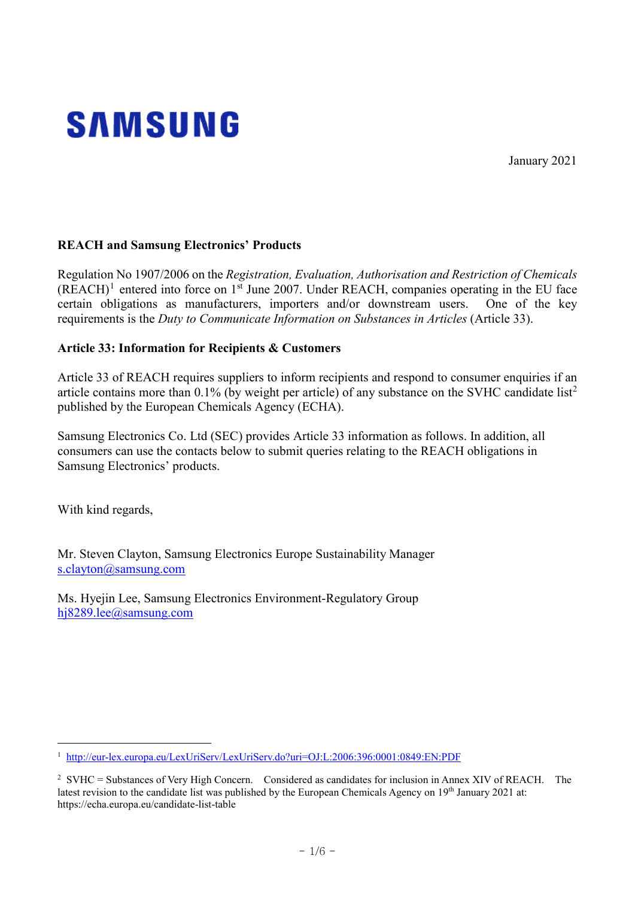

January 2021

## **REACH and Samsung Electronics' Products**

Regulation No 1907/2006 on the *Registration, Evaluation, Authorisation and Restriction of Chemicals*  $(REACH)^1$  $(REACH)^1$  entered into force on 1<sup>st</sup> June 2007. Under REACH, companies operating in the EU face certain obligations as manufacturers, importers and/or downstream users. One of the key requirements is the *Duty to Communicate Information on Substances in Articles* (Article 33).

## **Article 33: Information for Recipients & Customers**

Article 33 of REACH requires suppliers to inform recipients and respond to consumer enquiries if an article contains more than  $0.1\%$  (by weight per article) of any substance on the SVHC candidate list<sup>[2](#page-0-1)</sup> published by the European Chemicals Agency (ECHA).

Samsung Electronics Co. Ltd (SEC) provides Article 33 information as follows. In addition, all consumers can use the contacts below to submit queries relating to the REACH obligations in Samsung Electronics' products.

With kind regards,

-

Mr. Steven Clayton, Samsung Electronics Europe Sustainability Manager [s.clayton@samsung.com](mailto:s.clayton@samsung.com)

Ms. Hyejin Lee, Samsung Electronics Environment-Regulatory Group [hj8289.lee@samsung.com](mailto:hj8289.lee@samsung.com)

<span id="page-0-0"></span><sup>1</sup> <http://eur-lex.europa.eu/LexUriServ/LexUriServ.do?uri=OJ:L:2006:396:0001:0849:EN:PDF>

<span id="page-0-1"></span><sup>&</sup>lt;sup>2</sup> SVHC = Substances of Very High Concern. Considered as candidates for inclusion in Annex XIV of REACH. The latest revision to the candidate list was published by the European Chemicals Agency on 19th January 2021 at: https://echa.europa.eu/candidate-list-table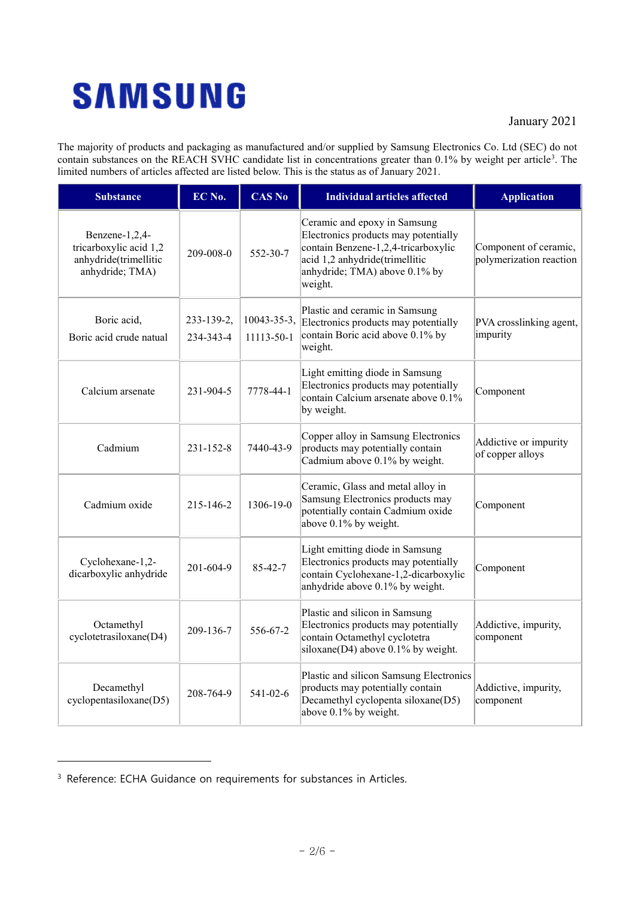## **SAMSUNG**

## January 2021

The majority of products and packaging as manufactured and/or supplied by Samsung Electronics Co. Ltd (SEC) do not contain substances on the REACH SVHC candidate list in concentrations greater than 0.1% by weight per article<sup>[3](#page-1-0)</sup>. The limited numbers of articles affected are listed below. This is the status as of January 2021.

| <b>Substance</b>                                                                     | EC No.                  | <b>CAS No</b>             | <b>Individual articles affected</b>                                                                                                                                                       | <b>Application</b>                               |
|--------------------------------------------------------------------------------------|-------------------------|---------------------------|-------------------------------------------------------------------------------------------------------------------------------------------------------------------------------------------|--------------------------------------------------|
| Benzene-1,2,4-<br>tricarboxylic acid 1,2<br>anhydride(trimellitic<br>anhydride; TMA) | 209-008-0               | 552-30-7                  | Ceramic and epoxy in Samsung<br>Electronics products may potentially<br>contain Benzene-1,2,4-tricarboxylic<br>acid 1,2 anhydride(trimellitic<br>anhydride; TMA) above 0.1% by<br>weight. | Component of ceramic,<br>polymerization reaction |
| Boric acid,<br>Boric acid crude natual                                               | 233-139-2,<br>234-343-4 | 10043-35-3,<br>11113-50-1 | Plastic and ceramic in Samsung<br>Electronics products may potentially<br>contain Boric acid above 0.1% by<br>weight.                                                                     | PVA crosslinking agent,<br>impurity              |
| Calcium arsenate                                                                     | 231-904-5               | 7778-44-1                 | Light emitting diode in Samsung<br>Electronics products may potentially<br>contain Calcium arsenate above 0.1%<br>by weight.                                                              | Component                                        |
| Cadmium                                                                              | $231 - 152 - 8$         | 7440-43-9                 | Copper alloy in Samsung Electronics<br>products may potentially contain<br>Cadmium above 0.1% by weight.                                                                                  | Addictive or impurity<br>of copper alloys        |
| Cadmium oxide                                                                        | 215-146-2               | 1306-19-0                 | Ceramic, Glass and metal alloy in<br>Samsung Electronics products may<br>potentially contain Cadmium oxide<br>above 0.1% by weight.                                                       | Component                                        |
| Cyclohexane-1,2-<br>dicarboxylic anhydride                                           | 201-604-9               | 85-42-7                   | Light emitting diode in Samsung<br>Electronics products may potentially<br>contain Cyclohexane-1,2-dicarboxylic<br>anhydride above 0.1% by weight.                                        | Component                                        |
| Octamethyl<br>cyclotetrasiloxane(D4)                                                 | 209-136-7               | 556-67-2                  | Plastic and silicon in Samsung<br>Electronics products may potentially<br>contain Octamethyl cyclotetra<br>siloxane(D4) above $0.1\%$ by weight.                                          | Addictive, impurity,<br>component                |
| Decamethyl<br>cyclopentasiloxane(D5)                                                 | 208-764-9               | $541 - 02 - 6$            | Plastic and silicon Samsung Electronics<br>products may potentially contain<br>Decamethyl cyclopenta siloxane(D5)<br>above 0.1% by weight.                                                | Addictive, impurity,<br>component                |

-

<span id="page-1-0"></span><sup>&</sup>lt;sup>3</sup> Reference: ECHA Guidance on requirements for substances in Articles.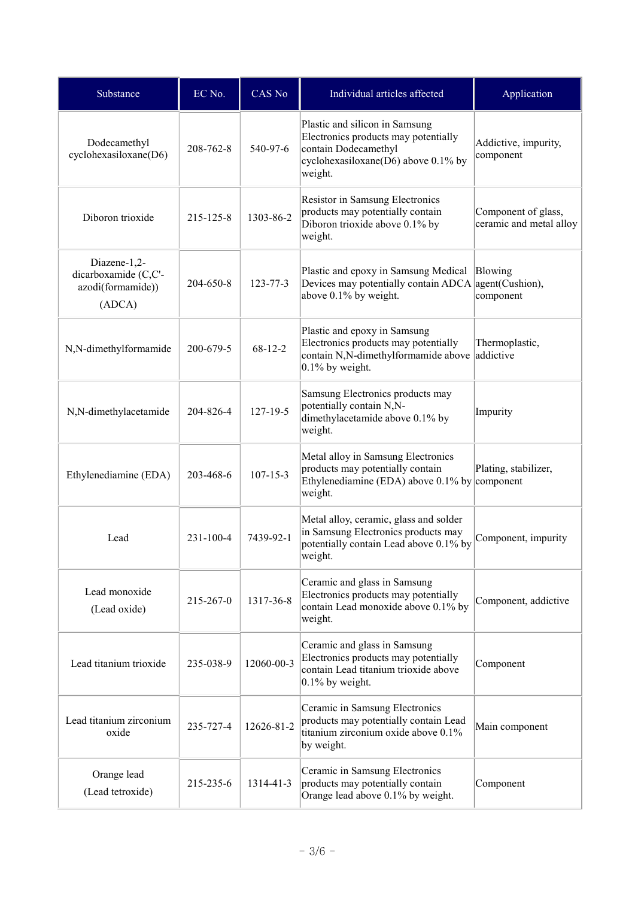| Substance                                                           | EC No.    | CAS No         | Individual articles affected                                                                                                                        | Application                                    |
|---------------------------------------------------------------------|-----------|----------------|-----------------------------------------------------------------------------------------------------------------------------------------------------|------------------------------------------------|
| Dodecamethyl<br>cyclohexasiloxane(D6)                               | 208-762-8 | 540-97-6       | Plastic and silicon in Samsung<br>Electronics products may potentially<br>contain Dodecamethyl<br>cyclohexasiloxane(D6) above $0.1\%$ by<br>weight. | Addictive, impurity,<br>component              |
| Diboron trioxide                                                    | 215-125-8 | 1303-86-2      | Resistor in Samsung Electronics<br>products may potentially contain<br>Diboron trioxide above 0.1% by<br>weight.                                    | Component of glass,<br>ceramic and metal alloy |
| Diazene-1,2-<br>dicarboxamide (C,C'-<br>azodi(formamide))<br>(ADCA) | 204-650-8 | $123 - 77 - 3$ | Plastic and epoxy in Samsung Medical<br>Devices may potentially contain ADCA agent(Cushion),<br>above 0.1% by weight.                               | Blowing<br>component                           |
| N,N-dimethylformamide                                               | 200-679-5 | $68 - 12 - 2$  | Plastic and epoxy in Samsung<br>Electronics products may potentially<br>contain N,N-dimethylformamide above<br>$0.1\%$ by weight.                   | Thermoplastic,<br>addictive                    |
| N,N-dimethylacetamide                                               | 204-826-4 | $127 - 19 - 5$ | Samsung Electronics products may<br>potentially contain N,N-<br>dimethylacetamide above 0.1% by<br>weight.                                          | Impurity                                       |
| Ethylenediamine (EDA)                                               | 203-468-6 | $107 - 15 - 3$ | Metal alloy in Samsung Electronics<br>products may potentially contain<br>Ethylenediamine (EDA) above 0.1% by<br>weight.                            | Plating, stabilizer,<br>component              |
| Lead                                                                | 231-100-4 | 7439-92-1      | Metal alloy, ceramic, glass and solder<br>in Samsung Electronics products may<br>potentially contain Lead above 0.1% by<br>weight.                  | Component, impurity                            |
| Lead monoxide<br>(Lead oxide)                                       | 215-267-0 | 1317-36-8      | Ceramic and glass in Samsung<br>Electronics products may potentially<br>contain Lead monoxide above 0.1% by<br>weight.                              | Component, addictive                           |
| Lead titanium trioxide                                              | 235-038-9 | 12060-00-3     | Ceramic and glass in Samsung<br>Electronics products may potentially<br>contain Lead titanium trioxide above<br>$0.1\%$ by weight.                  | Component                                      |
| Lead titanium zirconium<br>oxide                                    | 235-727-4 | 12626-81-2     | Ceramic in Samsung Electronics<br>products may potentially contain Lead<br>titanium zirconium oxide above 0.1%<br>by weight.                        | Main component                                 |
| Orange lead<br>(Lead tetroxide)                                     | 215-235-6 | 1314-41-3      | Ceramic in Samsung Electronics<br>products may potentially contain<br>Orange lead above 0.1% by weight.                                             | Component                                      |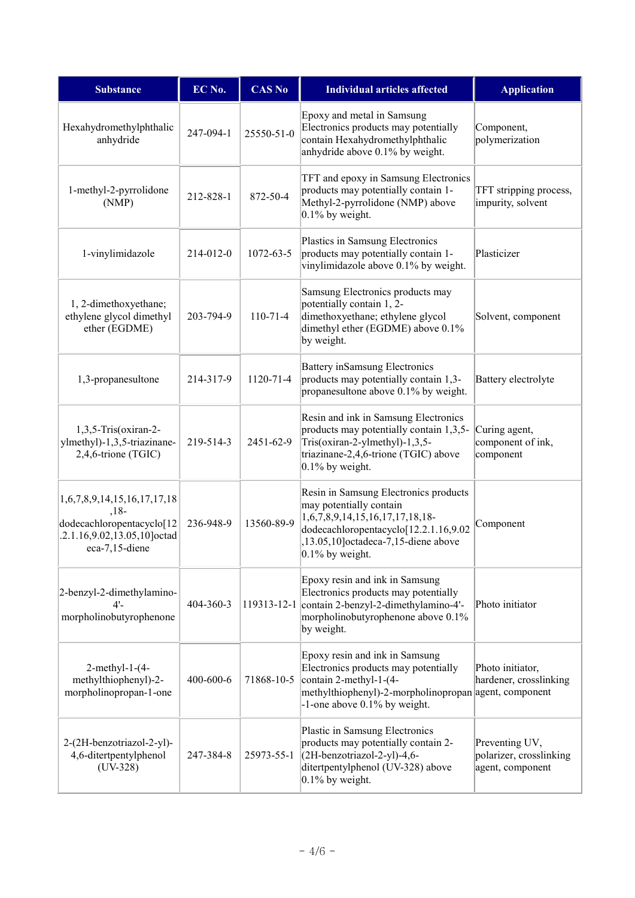| <b>Substance</b>                                                                                                    | EC No.          | <b>CAS No</b>  | <b>Individual articles affected</b>                                                                                                                                                                          | <b>Application</b>                                            |
|---------------------------------------------------------------------------------------------------------------------|-----------------|----------------|--------------------------------------------------------------------------------------------------------------------------------------------------------------------------------------------------------------|---------------------------------------------------------------|
| Hexahydromethylphthalic<br>anhydride                                                                                | 247-094-1       | 25550-51-0     | Epoxy and metal in Samsung<br>Electronics products may potentially<br>contain Hexahydromethylphthalic<br>anhydride above 0.1% by weight.                                                                     | Component,<br>polymerization                                  |
| 1-methyl-2-pyrrolidone<br>(NMP)                                                                                     | 212-828-1       | 872-50-4       | TFT and epoxy in Samsung Electronics<br>products may potentially contain 1-<br>Methyl-2-pyrrolidone (NMP) above<br>$0.1\%$ by weight.                                                                        | TFT stripping process,<br>impurity, solvent                   |
| 1-vinylimidazole                                                                                                    | 214-012-0       | 1072-63-5      | Plastics in Samsung Electronics<br>products may potentially contain 1-<br>vinylimidazole above 0.1% by weight.                                                                                               | Plasticizer                                                   |
| 1, 2-dimethoxyethane;<br>ethylene glycol dimethyl<br>ether (EGDME)                                                  | 203-794-9       | $110 - 71 - 4$ | Samsung Electronics products may<br>potentially contain 1, 2-<br>dimethoxyethane; ethylene glycol<br>dimethyl ether (EGDME) above 0.1%<br>by weight.                                                         | Solvent, component                                            |
| 1,3-propanesultone                                                                                                  | 214-317-9       | 1120-71-4      | Battery inSamsung Electronics<br>products may potentially contain 1,3-<br>propanesultone above 0.1% by weight.                                                                                               | Battery electrolyte                                           |
| 1,3,5-Tris(oxiran-2-<br>ylmethyl)-1,3,5-triazinane-<br>2,4,6-trione (TGIC)                                          | 219-514-3       | 2451-62-9      | Resin and ink in Samsung Electronics<br>products may potentially contain 1,3,5-<br>Tris(oxiran-2-ylmethyl)-1,3,5-<br>triazinane-2,4,6-trione (TGIC) above<br>$0.1\%$ by weight.                              | Curing agent,<br>component of ink,<br>component               |
| 1,6,7,8,9,14,15,16,17,17,18<br>$,18-$<br>dodecachloropentacyclo[12<br>.2.1.16,9.02,13.05,10]octad<br>eca-7,15-diene | 236-948-9       | 13560-89-9     | Resin in Samsung Electronics products<br>may potentially contain<br>$1,6,7,8,9,14,15,16,17,17,18,18$ -<br>dodecachloropentacyclo[12.2.1.16,9.02<br>,13.05,10]octadeca-7,15-diene above<br>$0.1\%$ by weight. | Component                                                     |
| 2-benzyl-2-dimethylamino-<br>$4'$ -<br>morpholinobutyrophenone                                                      | 404-360-3       |                | Epoxy resin and ink in Samsung<br>Electronics products may potentially<br>119313-12-1 contain 2-benzyl-2-dimethylamino-4'-<br>morpholinobutyrophenone above 0.1%<br>by weight.                               | Photo initiator                                               |
| $2$ -methyl-1- $(4-$<br>methylthiophenyl)-2-<br>morpholinopropan-1-one                                              | $400 - 600 - 6$ | 71868-10-5     | Epoxy resin and ink in Samsung<br>Electronics products may potentially<br>contain 2-methyl-1-(4-<br>methylthiophenyl)-2-morpholinopropan agent, component<br>$-1$ -one above 0.1% by weight.                 | Photo initiator,<br>hardener, crosslinking                    |
| 2-(2H-benzotriazol-2-yl)-<br>4,6-ditertpentylphenol<br>$(UV-328)$                                                   | 247-384-8       | 25973-55-1     | Plastic in Samsung Electronics<br>products may potentially contain 2-<br>(2H-benzotriazol-2-yl)-4,6-<br>ditertpentylphenol (UV-328) above<br>$0.1\%$ by weight.                                              | Preventing UV,<br>polarizer, crosslinking<br>agent, component |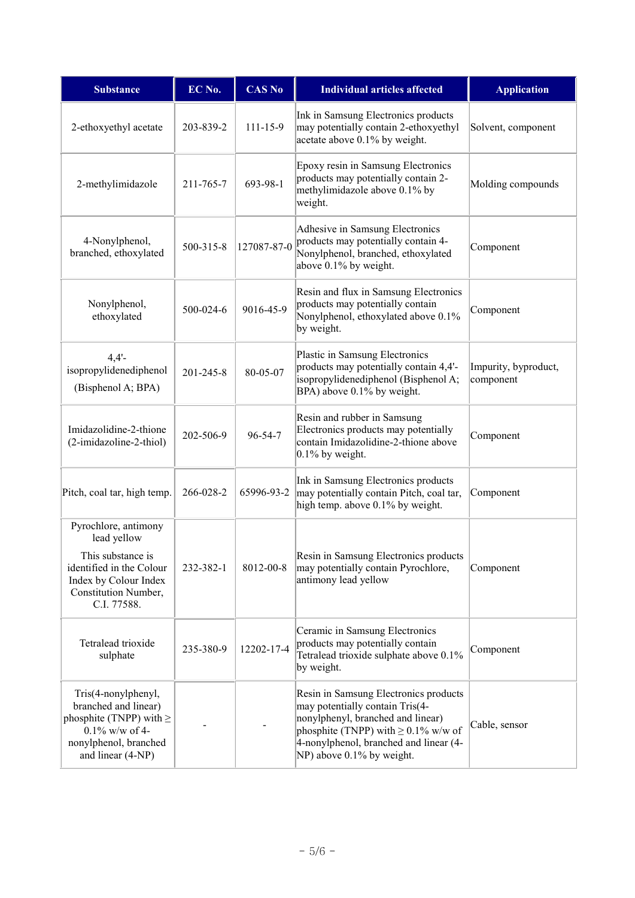| <b>Substance</b>                                                                                                                                     | EC No.          | <b>CAS No</b>  | <b>Individual articles affected</b>                                                                                                                                                                                               | <b>Application</b>                |
|------------------------------------------------------------------------------------------------------------------------------------------------------|-----------------|----------------|-----------------------------------------------------------------------------------------------------------------------------------------------------------------------------------------------------------------------------------|-----------------------------------|
| 2-ethoxyethyl acetate                                                                                                                                | 203-839-2       | $111 - 15 - 9$ | Ink in Samsung Electronics products<br>may potentially contain 2-ethoxyethyl<br>acetate above 0.1% by weight.                                                                                                                     | Solvent, component                |
| 2-methylimidazole                                                                                                                                    | 211-765-7       | 693-98-1       | Epoxy resin in Samsung Electronics<br>products may potentially contain 2-<br>methylimidazole above 0.1% by<br>weight.                                                                                                             | Molding compounds                 |
| 4-Nonylphenol,<br>branched, ethoxylated                                                                                                              | 500-315-8       | 127087-87-0    | Adhesive in Samsung Electronics<br>products may potentially contain 4-<br>Nonylphenol, branched, ethoxylated<br>above 0.1% by weight.                                                                                             | Component                         |
| Nonylphenol,<br>ethoxylated                                                                                                                          | 500-024-6       | 9016-45-9      | Resin and flux in Samsung Electronics<br>products may potentially contain<br>Nonylphenol, ethoxylated above 0.1%<br>by weight.                                                                                                    | Component                         |
| $4,4'$ -<br>isopropylidenediphenol<br>(Bisphenol A; BPA)                                                                                             | $201 - 245 - 8$ | 80-05-07       | Plastic in Samsung Electronics<br>products may potentially contain 4,4'-<br>isopropylidenediphenol (Bisphenol A;<br>BPA) above 0.1% by weight.                                                                                    | Impurity, byproduct,<br>component |
| Imidazolidine-2-thione<br>(2-imidazoline-2-thiol)                                                                                                    | 202-506-9       | 96-54-7        | Resin and rubber in Samsung<br>Electronics products may potentially<br>contain Imidazolidine-2-thione above<br>$0.1\%$ by weight.                                                                                                 | Component                         |
| Pitch, coal tar, high temp.                                                                                                                          | 266-028-2       | 65996-93-2     | Ink in Samsung Electronics products<br>may potentially contain Pitch, coal tar,<br>high temp. above 0.1% by weight.                                                                                                               | Component                         |
| Pyrochlore, antimony<br>lead yellow<br>This substance is<br>identified in the Colour<br>Index by Colour Index<br>Constitution Number,<br>C.I. 77588. | 232-382-1       | 8012-00-8      | Resin in Samsung Electronics products<br>may potentially contain Pyrochlore,<br>antimony lead yellow                                                                                                                              | Component                         |
| Tetralead trioxide<br>sulphate                                                                                                                       | 235-380-9       | 12202-17-4     | Ceramic in Samsung Electronics<br>products may potentially contain<br>Tetralead trioxide sulphate above 0.1%<br>by weight.                                                                                                        | Component                         |
| Tris(4-nonylphenyl,<br>branched and linear)<br>phosphite (TNPP) with $\geq$<br>$0.1\%$ w/w of 4-<br>nonylphenol, branched<br>and linear (4-NP)       |                 |                | Resin in Samsung Electronics products<br>may potentially contain Tris(4-<br>nonylphenyl, branched and linear)<br>phosphite (TNPP) with $\geq 0.1\%$ w/w of<br>4-nonylphenol, branched and linear (4-<br>NP) above 0.1% by weight. | Cable, sensor                     |